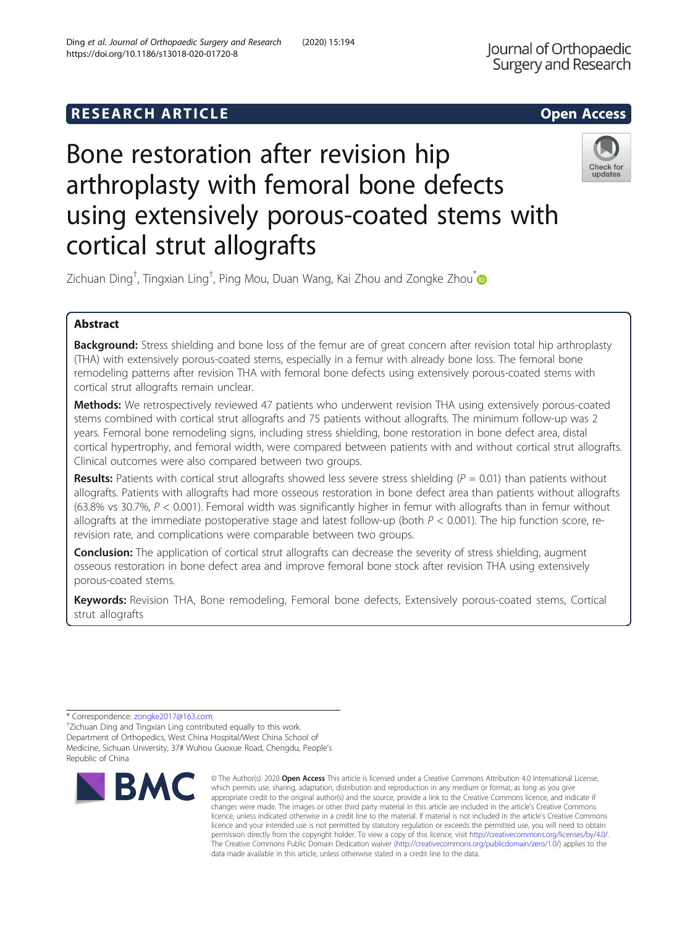# **RESEARCH ARTICLE Example 2014 12:30 The SEAR CH ACCESS**

# Bone restoration after revision hip arthroplasty with femoral bone defects using extensively porous-coated stems with cortical strut allografts

Zichuan Ding $^\dagger$ , Tingxian Ling $^\dagger$ , Ping Mou, Duan Wang, Kai Zhou and Zongke Zhou $\check{\;\;}$ 

## Abstract

Background: Stress shielding and bone loss of the femur are of great concern after revision total hip arthroplasty (THA) with extensively porous-coated stems, especially in a femur with already bone loss. The femoral bone remodeling patterns after revision THA with femoral bone defects using extensively porous-coated stems with cortical strut allografts remain unclear.

Methods: We retrospectively reviewed 47 patients who underwent revision THA using extensively porous-coated stems combined with cortical strut allografts and 75 patients without allografts. The minimum follow-up was 2 years. Femoral bone remodeling signs, including stress shielding, bone restoration in bone defect area, distal cortical hypertrophy, and femoral width, were compared between patients with and without cortical strut allografts. Clinical outcomes were also compared between two groups.

Results: Patients with cortical strut allografts showed less severe stress shielding  $(P = 0.01)$  than patients without allografts. Patients with allografts had more osseous restoration in bone defect area than patients without allografts (63.8% vs 30.7%, P < 0.001). Femoral width was significantly higher in femur with allografts than in femur without allografts at the immediate postoperative stage and latest follow-up (both  $P < 0.001$ ). The hip function score, rerevision rate, and complications were comparable between two groups.

**Conclusion:** The application of cortical strut allografts can decrease the severity of stress shielding, augment osseous restoration in bone defect area and improve femoral bone stock after revision THA using extensively porous-coated stems.

Keywords: Revision THA, Bone remodeling, Femoral bone defects, Extensively porous-coated stems, Cortical strut allografts

\* Correspondence: [zongke2017@163.com](mailto:zongke2017@163.com) †

**RMC** 

<sup>+</sup>Zichuan Ding and Tingxian Ling contributed equally to this work. Department of Orthopedics, West China Hospital/West China School of Medicine, Sichuan University, 37# Wuhou Guoxue Road, Chengdu, People's Republic of China





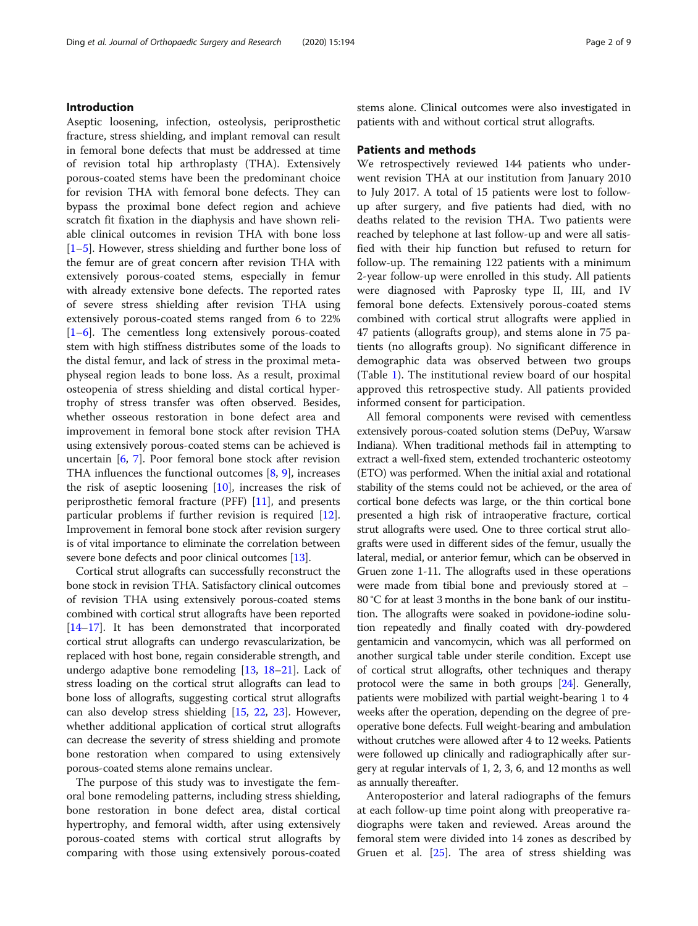#### Introduction

Aseptic loosening, infection, osteolysis, periprosthetic fracture, stress shielding, and implant removal can result in femoral bone defects that must be addressed at time of revision total hip arthroplasty (THA). Extensively porous-coated stems have been the predominant choice for revision THA with femoral bone defects. They can bypass the proximal bone defect region and achieve scratch fit fixation in the diaphysis and have shown reliable clinical outcomes in revision THA with bone loss [[1](#page-7-0)–[5\]](#page-7-0). However, stress shielding and further bone loss of the femur are of great concern after revision THA with extensively porous-coated stems, especially in femur with already extensive bone defects. The reported rates of severe stress shielding after revision THA using extensively porous-coated stems ranged from 6 to 22% [[1](#page-7-0)–[6\]](#page-7-0). The cementless long extensively porous-coated stem with high stiffness distributes some of the loads to the distal femur, and lack of stress in the proximal metaphyseal region leads to bone loss. As a result, proximal osteopenia of stress shielding and distal cortical hypertrophy of stress transfer was often observed. Besides, whether osseous restoration in bone defect area and improvement in femoral bone stock after revision THA using extensively porous-coated stems can be achieved is uncertain [[6,](#page-7-0) [7\]](#page-7-0). Poor femoral bone stock after revision THA influences the functional outcomes  $[8, 9]$  $[8, 9]$  $[8, 9]$  $[8, 9]$  $[8, 9]$ , increases the risk of aseptic loosening [[10\]](#page-7-0), increases the risk of periprosthetic femoral fracture (PFF) [\[11](#page-7-0)], and presents particular problems if further revision is required [\[12](#page-7-0)]. Improvement in femoral bone stock after revision surgery is of vital importance to eliminate the correlation between severe bone defects and poor clinical outcomes [[13](#page-7-0)].

Cortical strut allografts can successfully reconstruct the bone stock in revision THA. Satisfactory clinical outcomes of revision THA using extensively porous-coated stems combined with cortical strut allografts have been reported [[14](#page-7-0)–[17\]](#page-7-0). It has been demonstrated that incorporated cortical strut allografts can undergo revascularization, be replaced with host bone, regain considerable strength, and undergo adaptive bone remodeling [[13](#page-7-0), [18](#page-7-0)–[21\]](#page-7-0). Lack of stress loading on the cortical strut allografts can lead to bone loss of allografts, suggesting cortical strut allografts can also develop stress shielding [[15](#page-7-0), [22,](#page-7-0) [23\]](#page-7-0). However, whether additional application of cortical strut allografts can decrease the severity of stress shielding and promote bone restoration when compared to using extensively porous-coated stems alone remains unclear.

The purpose of this study was to investigate the femoral bone remodeling patterns, including stress shielding, bone restoration in bone defect area, distal cortical hypertrophy, and femoral width, after using extensively porous-coated stems with cortical strut allografts by comparing with those using extensively porous-coated stems alone. Clinical outcomes were also investigated in patients with and without cortical strut allografts.

#### Patients and methods

We retrospectively reviewed 144 patients who underwent revision THA at our institution from January 2010 to July 2017. A total of 15 patients were lost to followup after surgery, and five patients had died, with no deaths related to the revision THA. Two patients were reached by telephone at last follow-up and were all satisfied with their hip function but refused to return for follow-up. The remaining 122 patients with a minimum 2-year follow-up were enrolled in this study. All patients were diagnosed with Paprosky type II, III, and IV femoral bone defects. Extensively porous-coated stems combined with cortical strut allografts were applied in 47 patients (allografts group), and stems alone in 75 patients (no allografts group). No significant difference in demographic data was observed between two groups (Table [1](#page-2-0)). The institutional review board of our hospital approved this retrospective study. All patients provided informed consent for participation.

All femoral components were revised with cementless extensively porous-coated solution stems (DePuy, Warsaw Indiana). When traditional methods fail in attempting to extract a well-fixed stem, extended trochanteric osteotomy (ETO) was performed. When the initial axial and rotational stability of the stems could not be achieved, or the area of cortical bone defects was large, or the thin cortical bone presented a high risk of intraoperative fracture, cortical strut allografts were used. One to three cortical strut allografts were used in different sides of the femur, usually the lateral, medial, or anterior femur, which can be observed in Gruen zone 1-11. The allografts used in these operations were made from tibial bone and previously stored at − 80 °C for at least 3 months in the bone bank of our institution. The allografts were soaked in povidone-iodine solution repeatedly and finally coated with dry-powdered gentamicin and vancomycin, which was all performed on another surgical table under sterile condition. Except use of cortical strut allografts, other techniques and therapy protocol were the same in both groups [\[24\]](#page-7-0). Generally, patients were mobilized with partial weight-bearing 1 to 4 weeks after the operation, depending on the degree of preoperative bone defects. Full weight-bearing and ambulation without crutches were allowed after 4 to 12 weeks. Patients were followed up clinically and radiographically after surgery at regular intervals of 1, 2, 3, 6, and 12 months as well as annually thereafter.

Anteroposterior and lateral radiographs of the femurs at each follow-up time point along with preoperative radiographs were taken and reviewed. Areas around the femoral stem were divided into 14 zones as described by Gruen et al. [[25\]](#page-7-0). The area of stress shielding was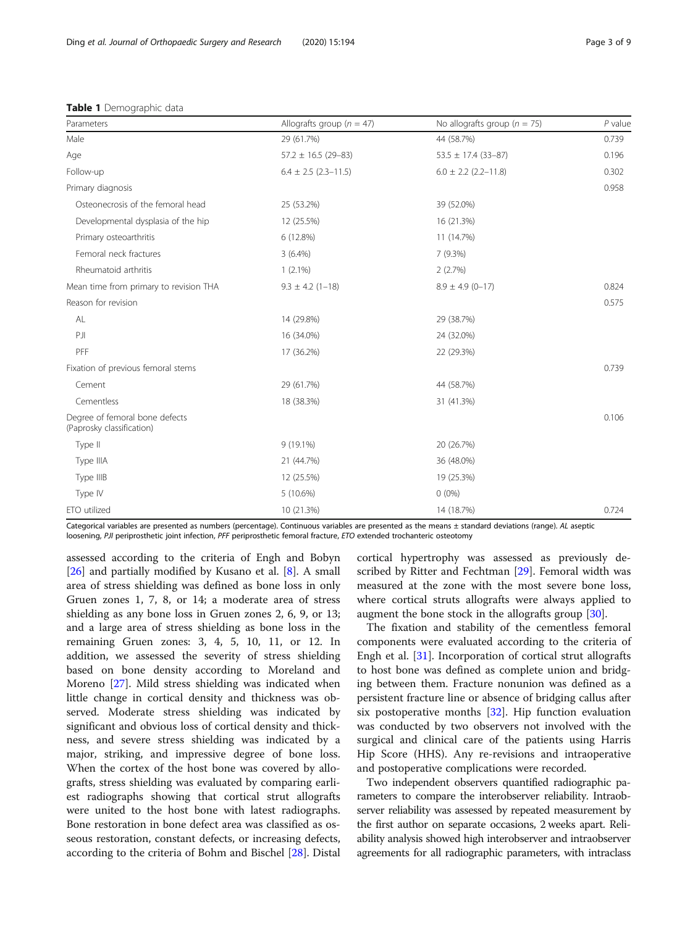<span id="page-2-0"></span>

|  | Table 1 Demographic data |  |
|--|--------------------------|--|
|--|--------------------------|--|

| Parameters                                                  | Allografts group ( $n = 47$ ) | No allografts group ( $n = 75$ ) | $P$ value |
|-------------------------------------------------------------|-------------------------------|----------------------------------|-----------|
| Male                                                        | 29 (61.7%)                    | 44 (58.7%)                       | 0.739     |
| Age                                                         | $57.2 \pm 16.5$ (29-83)       | $53.5 \pm 17.4 (33 - 87)$        | 0.196     |
| Follow-up                                                   | $6.4 \pm 2.5$ (2.3-11.5)      | $6.0 \pm 2.2$ (2.2-11.8)         | 0.302     |
| Primary diagnosis                                           |                               |                                  | 0.958     |
| Osteonecrosis of the femoral head                           | 25 (53.2%)                    | 39 (52.0%)                       |           |
| Developmental dysplasia of the hip                          | 12 (25.5%)                    | 16 (21.3%)                       |           |
| Primary osteoarthritis                                      | 6 (12.8%)                     | 11 (14.7%)                       |           |
| Femoral neck fractures                                      | $3(6.4\%)$                    | 7 (9.3%)                         |           |
| Rheumatoid arthritis                                        | $1(2.1\%)$                    | 2(2.7%)                          |           |
| Mean time from primary to revision THA                      | $9.3 \pm 4.2$ (1-18)          | $8.9 \pm 4.9$ (0-17)             | 0.824     |
| Reason for revision                                         |                               |                                  | 0.575     |
| AL                                                          | 14 (29.8%)                    | 29 (38.7%)                       |           |
| PJI                                                         | 16 (34.0%)                    | 24 (32.0%)                       |           |
| PFF                                                         | 17 (36.2%)                    | 22 (29.3%)                       |           |
| Fixation of previous femoral stems                          |                               |                                  | 0.739     |
| Cement                                                      | 29 (61.7%)                    | 44 (58.7%)                       |           |
| Cementless                                                  | 18 (38.3%)                    | 31 (41.3%)                       |           |
| Degree of femoral bone defects<br>(Paprosky classification) |                               |                                  | 0.106     |
| Type II                                                     | 9 (19.1%)                     | 20 (26.7%)                       |           |
| Type IIIA                                                   | 21 (44.7%)                    | 36 (48.0%)                       |           |
| Type IIIB                                                   | 12 (25.5%)                    | 19 (25.3%)                       |           |
| Type IV                                                     | 5 (10.6%)                     | $0(0\%)$                         |           |
| ETO utilized                                                | 10 (21.3%)                    | 14 (18.7%)                       | 0.724     |

Categorical variables are presented as numbers (percentage). Continuous variables are presented as the means ± standard deviations (range). AL aseptic loosening, PJI periprosthetic joint infection, PFF periprosthetic femoral fracture, ETO extended trochanteric osteotomy

assessed according to the criteria of Engh and Bobyn [[26\]](#page-7-0) and partially modified by Kusano et al. [[8\]](#page-7-0). A small area of stress shielding was defined as bone loss in only Gruen zones 1, 7, 8, or 14; a moderate area of stress shielding as any bone loss in Gruen zones 2, 6, 9, or 13; and a large area of stress shielding as bone loss in the remaining Gruen zones: 3, 4, 5, 10, 11, or 12. In addition, we assessed the severity of stress shielding based on bone density according to Moreland and Moreno [[27\]](#page-7-0). Mild stress shielding was indicated when little change in cortical density and thickness was observed. Moderate stress shielding was indicated by significant and obvious loss of cortical density and thickness, and severe stress shielding was indicated by a major, striking, and impressive degree of bone loss. When the cortex of the host bone was covered by allografts, stress shielding was evaluated by comparing earliest radiographs showing that cortical strut allografts were united to the host bone with latest radiographs. Bone restoration in bone defect area was classified as osseous restoration, constant defects, or increasing defects, according to the criteria of Bohm and Bischel [[28\]](#page-7-0). Distal

cortical hypertrophy was assessed as previously described by Ritter and Fechtman [[29\]](#page-7-0). Femoral width was measured at the zone with the most severe bone loss, where cortical struts allografts were always applied to augment the bone stock in the allografts group [\[30](#page-7-0)].

The fixation and stability of the cementless femoral components were evaluated according to the criteria of Engh et al. [[31](#page-7-0)]. Incorporation of cortical strut allografts to host bone was defined as complete union and bridging between them. Fracture nonunion was defined as a persistent fracture line or absence of bridging callus after six postoperative months [\[32](#page-7-0)]. Hip function evaluation was conducted by two observers not involved with the surgical and clinical care of the patients using Harris Hip Score (HHS). Any re-revisions and intraoperative and postoperative complications were recorded.

Two independent observers quantified radiographic parameters to compare the interobserver reliability. Intraobserver reliability was assessed by repeated measurement by the first author on separate occasions, 2 weeks apart. Reliability analysis showed high interobserver and intraobserver agreements for all radiographic parameters, with intraclass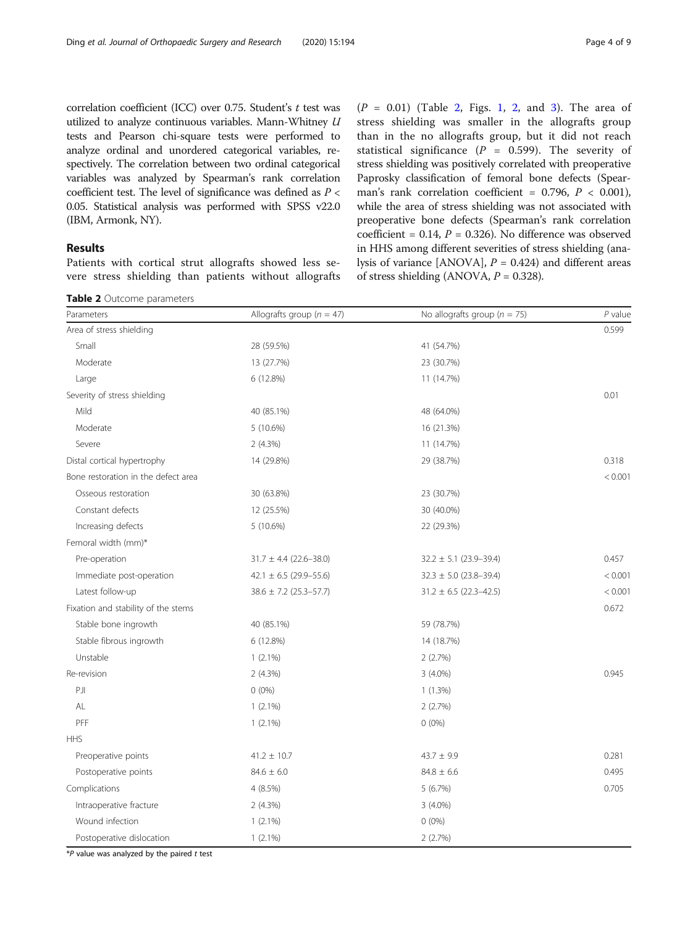<span id="page-3-0"></span>correlation coefficient (ICC) over 0.75. Student's  $t$  test was utilized to analyze continuous variables. Mann-Whitney U tests and Pearson chi-square tests were performed to analyze ordinal and unordered categorical variables, respectively. The correlation between two ordinal categorical variables was analyzed by Spearman's rank correlation coefficient test. The level of significance was defined as  $P <$ 0.05. Statistical analysis was performed with SPSS v22.0 (IBM, Armonk, NY).

### Results

Patients with cortical strut allografts showed less severe stress shielding than patients without allografts

Table 2 Outcome parameters

 $(P = 0.01)$  (Table 2, Figs. [1,](#page-4-0) [2](#page-4-0), and [3](#page-5-0)). The area of stress shielding was smaller in the allografts group than in the no allografts group, but it did not reach statistical significance ( $P = 0.599$ ). The severity of stress shielding was positively correlated with preoperative Paprosky classification of femoral bone defects (Spearman's rank correlation coefficient =  $0.796$ ,  $P < 0.001$ ), while the area of stress shielding was not associated with preoperative bone defects (Spearman's rank correlation coefficient =  $0.14$ ,  $P = 0.326$ ). No difference was observed in HHS among different severities of stress shielding (analysis of variance [ANOVA],  $P = 0.424$ ] and different areas of stress shielding (ANOVA,  $P = 0.328$ ).

| Parameters                          | Allografts group ( $n = 47$ ) | No allografts group ( $n = 75$ ) | $P$ value |
|-------------------------------------|-------------------------------|----------------------------------|-----------|
| Area of stress shielding            |                               |                                  | 0.599     |
| Small                               | 28 (59.5%)                    | 41 (54.7%)                       |           |
| Moderate                            | 13 (27.7%)                    | 23 (30.7%)                       |           |
| Large                               | 6 (12.8%)                     | 11 (14.7%)                       |           |
| Severity of stress shielding        |                               |                                  | 0.01      |
| Mild                                | 40 (85.1%)                    | 48 (64.0%)                       |           |
| Moderate                            | 5(10.6%)                      | 16 (21.3%)                       |           |
| Severe                              | 2(4.3%)                       | 11 (14.7%)                       |           |
| Distal cortical hypertrophy         | 14 (29.8%)                    | 29 (38.7%)                       | 0.318     |
| Bone restoration in the defect area |                               |                                  | < 0.001   |
| Osseous restoration                 | 30 (63.8%)                    | 23 (30.7%)                       |           |
| Constant defects                    | 12 (25.5%)                    | 30 (40.0%)                       |           |
| Increasing defects                  | 5(10.6%)                      | 22 (29.3%)                       |           |
| Femoral width (mm)*                 |                               |                                  |           |
| Pre-operation                       | $31.7 \pm 4.4$ (22.6-38.0)    | $32.2 \pm 5.1$ (23.9-39.4)       | 0.457     |
| Immediate post-operation            | 42.1 $\pm$ 6.5 (29.9-55.6)    | $32.3 \pm 5.0$ (23.8-39.4)       | < 0.001   |
| Latest follow-up                    | $38.6 \pm 7.2$ (25.3-57.7)    | $31.2 \pm 6.5$ (22.3-42.5)       | < 0.001   |
| Fixation and stability of the stems |                               |                                  | 0.672     |
| Stable bone ingrowth                | 40 (85.1%)                    | 59 (78.7%)                       |           |
| Stable fibrous ingrowth             | 6 (12.8%)                     | 14 (18.7%)                       |           |
| Unstable                            | $1(2.1\%)$                    | 2(2.7%)                          |           |
| Re-revision                         | 2(4.3%)                       | $3(4.0\%)$                       | 0.945     |
| PJI                                 | $0(0\%)$                      | $1(1.3\%)$                       |           |
| AL                                  | $1(2.1\%)$                    | 2(2.7%)                          |           |
| PFF                                 | $1(2.1\%)$                    | $0(0\%)$                         |           |
| <b>HHS</b>                          |                               |                                  |           |
| Preoperative points                 | $41.2 \pm 10.7$               | $43.7 \pm 9.9$                   | 0.281     |
| Postoperative points                | $84.6 \pm 6.0$                | $84.8 \pm 6.6$                   | 0.495     |
| Complications                       | 4 (8.5%)                      | 5 (6.7%)                         | 0.705     |
| Intraoperative fracture             | 2(4.3%)                       | $3(4.0\%)$                       |           |
| Wound infection                     | $1(2.1\%)$                    | $0(0\%)$                         |           |
| Postoperative dislocation           | $1(2.1\%)$                    | 2(2.7%)                          |           |

 $*P$  value was analyzed by the paired  $t$  test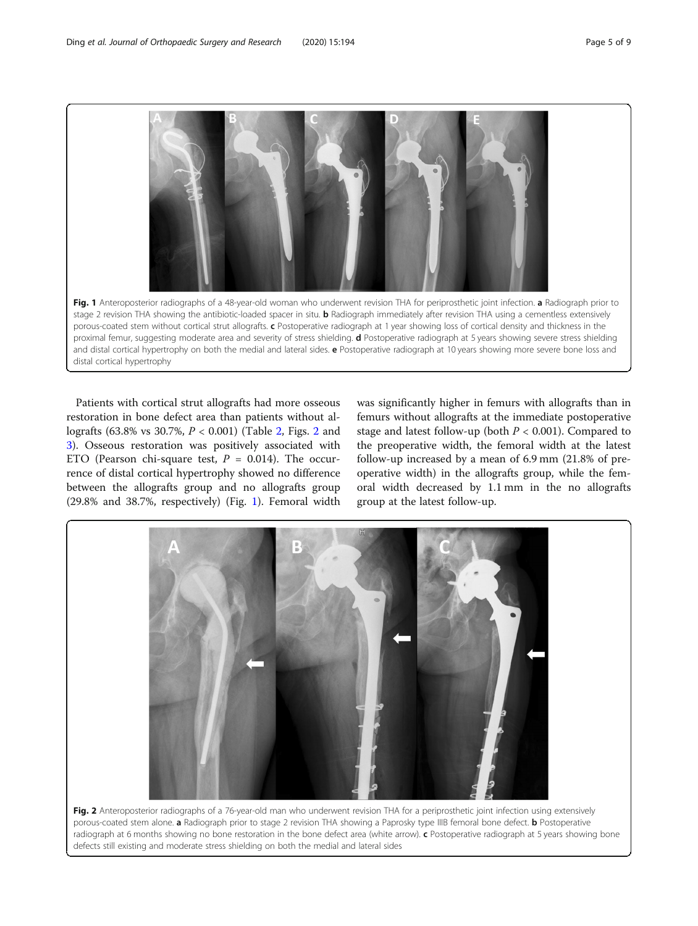<span id="page-4-0"></span>Fig. 1 Anteroposterior radiographs of a 48-year-old woman who underwent revision THA for periprosthetic joint infection. a Radiograph prior to stage 2 revision THA showing the antibiotic-loaded spacer in situ. **b** Radiograph immediately after revision THA using a cementless extensively porous-coated stem without cortical strut allografts. c Postoperative radiograph at 1 year showing loss of cortical density and thickness in the proximal femur, suggesting moderate area and severity of stress shielding. d Postoperative radiograph at 5 years showing severe stress shielding and distal cortical hypertrophy on both the medial and lateral sides. e Postoperative radiograph at 10 years showing more severe bone loss and distal cortical hypertrophy

Patients with cortical strut allografts had more osseous restoration in bone defect area than patients without allografts (63.8% vs 30.7%, P < 0.001) (Table [2,](#page-3-0) Figs. 2 and [3\)](#page-5-0). Osseous restoration was positively associated with ETO (Pearson chi-square test,  $P = 0.014$ ). The occurrence of distal cortical hypertrophy showed no difference between the allografts group and no allografts group (29.8% and 38.7%, respectively) (Fig. 1). Femoral width was significantly higher in femurs with allografts than in femurs without allografts at the immediate postoperative stage and latest follow-up (both  $P < 0.001$ ). Compared to the preoperative width, the femoral width at the latest follow-up increased by a mean of 6.9 mm (21.8% of preoperative width) in the allografts group, while the femoral width decreased by 1.1 mm in the no allografts group at the latest follow-up.



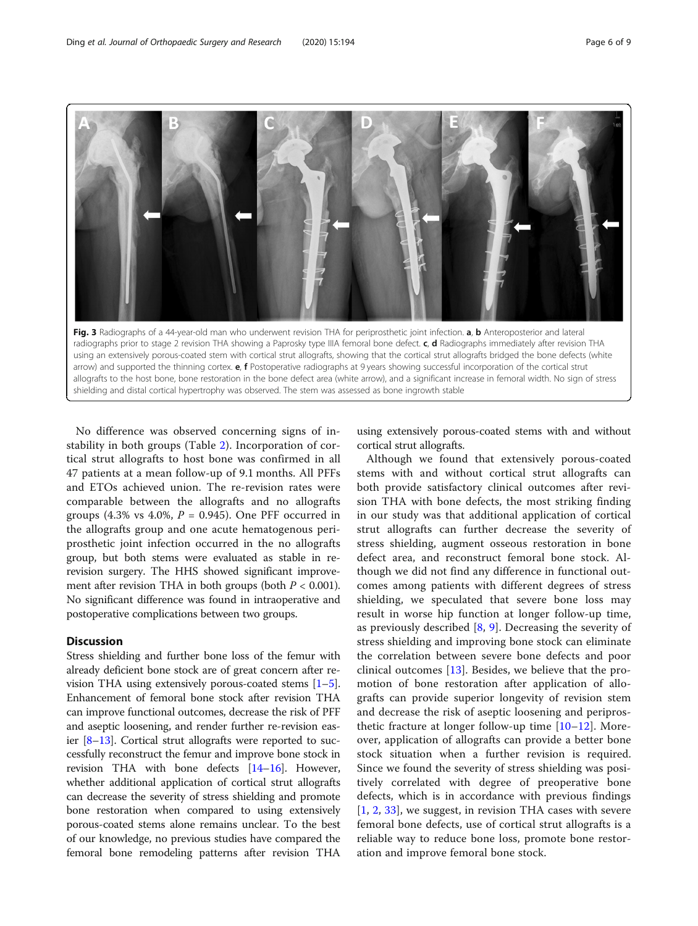<span id="page-5-0"></span>

radiographs prior to stage 2 revision THA showing a Paprosky type IIIA femoral bone defect. c, d Radiographs immediately after revision THA using an extensively porous-coated stem with cortical strut allografts, showing that the cortical strut allografts bridged the bone defects (white arrow) and supported the thinning cortex. **e, f** Postoperative radiographs at 9 years showing successful incorporation of the cortical strut allografts to the host bone, bone restoration in the bone defect area (white arrow), and a significant increase in femoral width. No sign of stress shielding and distal cortical hypertrophy was observed. The stem was assessed as bone ingrowth stable

No difference was observed concerning signs of instability in both groups (Table [2\)](#page-3-0). Incorporation of cortical strut allografts to host bone was confirmed in all 47 patients at a mean follow-up of 9.1 months. All PFFs and ETOs achieved union. The re-revision rates were comparable between the allografts and no allografts groups (4.3% vs 4.0%,  $P = 0.945$ ). One PFF occurred in the allografts group and one acute hematogenous periprosthetic joint infection occurred in the no allografts group, but both stems were evaluated as stable in rerevision surgery. The HHS showed significant improvement after revision THA in both groups (both  $P < 0.001$ ). No significant difference was found in intraoperative and postoperative complications between two groups.

#### **Discussion**

Stress shielding and further bone loss of the femur with already deficient bone stock are of great concern after revision THA using extensively porous-coated stems [[1](#page-7-0)–[5](#page-7-0)]. Enhancement of femoral bone stock after revision THA can improve functional outcomes, decrease the risk of PFF and aseptic loosening, and render further re-revision easier  $[8-13]$  $[8-13]$  $[8-13]$  $[8-13]$  $[8-13]$ . Cortical strut allografts were reported to successfully reconstruct the femur and improve bone stock in revision THA with bone defects [[14](#page-7-0)–[16\]](#page-7-0). However, whether additional application of cortical strut allografts can decrease the severity of stress shielding and promote bone restoration when compared to using extensively porous-coated stems alone remains unclear. To the best of our knowledge, no previous studies have compared the femoral bone remodeling patterns after revision THA

using extensively porous-coated stems with and without cortical strut allografts.

Although we found that extensively porous-coated stems with and without cortical strut allografts can both provide satisfactory clinical outcomes after revision THA with bone defects, the most striking finding in our study was that additional application of cortical strut allografts can further decrease the severity of stress shielding, augment osseous restoration in bone defect area, and reconstruct femoral bone stock. Although we did not find any difference in functional outcomes among patients with different degrees of stress shielding, we speculated that severe bone loss may result in worse hip function at longer follow-up time, as previously described [\[8](#page-7-0), [9\]](#page-7-0). Decreasing the severity of stress shielding and improving bone stock can eliminate the correlation between severe bone defects and poor clinical outcomes [[13](#page-7-0)]. Besides, we believe that the promotion of bone restoration after application of allografts can provide superior longevity of revision stem and decrease the risk of aseptic loosening and periprosthetic fracture at longer follow-up time [\[10](#page-7-0)–[12](#page-7-0)]. Moreover, application of allografts can provide a better bone stock situation when a further revision is required. Since we found the severity of stress shielding was positively correlated with degree of preoperative bone defects, which is in accordance with previous findings [[1](#page-7-0), [2](#page-7-0), [33](#page-7-0)], we suggest, in revision THA cases with severe femoral bone defects, use of cortical strut allografts is a reliable way to reduce bone loss, promote bone restoration and improve femoral bone stock.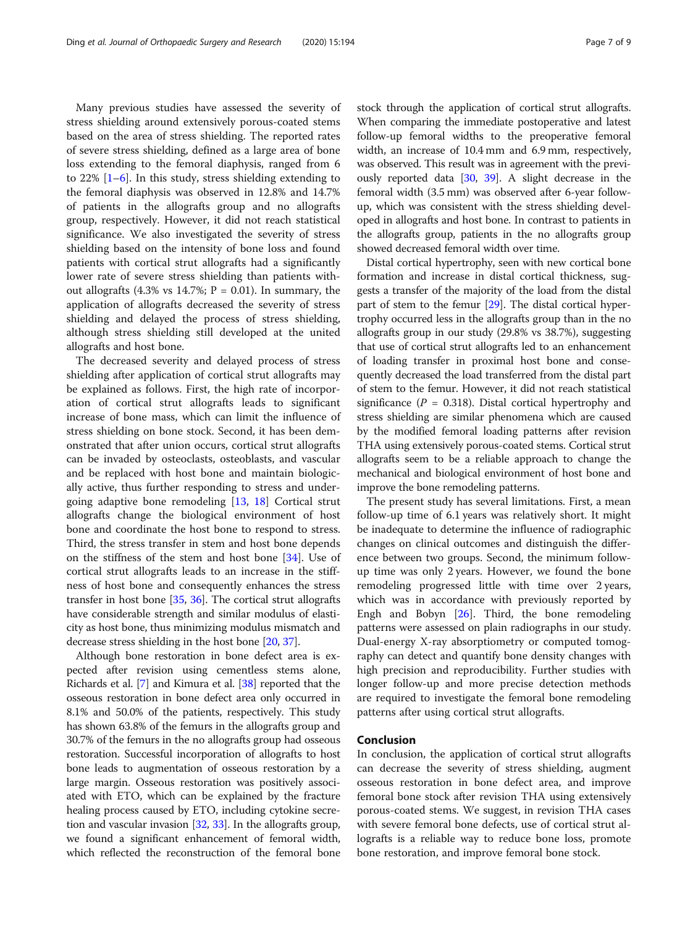Many previous studies have assessed the severity of stress shielding around extensively porous-coated stems based on the area of stress shielding. The reported rates of severe stress shielding, defined as a large area of bone loss extending to the femoral diaphysis, ranged from 6 to  $22\%$  [\[1](#page-7-0)–[6](#page-7-0)]. In this study, stress shielding extending to the femoral diaphysis was observed in 12.8% and 14.7% of patients in the allografts group and no allografts group, respectively. However, it did not reach statistical significance. We also investigated the severity of stress shielding based on the intensity of bone loss and found patients with cortical strut allografts had a significantly lower rate of severe stress shielding than patients without allografts (4.3% vs 14.7%;  $P = 0.01$ ). In summary, the application of allografts decreased the severity of stress shielding and delayed the process of stress shielding, although stress shielding still developed at the united allografts and host bone.

The decreased severity and delayed process of stress shielding after application of cortical strut allografts may be explained as follows. First, the high rate of incorporation of cortical strut allografts leads to significant increase of bone mass, which can limit the influence of stress shielding on bone stock. Second, it has been demonstrated that after union occurs, cortical strut allografts can be invaded by osteoclasts, osteoblasts, and vascular and be replaced with host bone and maintain biologically active, thus further responding to stress and undergoing adaptive bone remodeling [\[13](#page-7-0), [18\]](#page-7-0) Cortical strut allografts change the biological environment of host bone and coordinate the host bone to respond to stress. Third, the stress transfer in stem and host bone depends on the stiffness of the stem and host bone [\[34](#page-7-0)]. Use of cortical strut allografts leads to an increase in the stiffness of host bone and consequently enhances the stress transfer in host bone [[35](#page-7-0), [36](#page-8-0)]. The cortical strut allografts have considerable strength and similar modulus of elasticity as host bone, thus minimizing modulus mismatch and decrease stress shielding in the host bone [\[20,](#page-7-0) [37](#page-8-0)].

Although bone restoration in bone defect area is expected after revision using cementless stems alone, Richards et al. [[7](#page-7-0)] and Kimura et al. [\[38](#page-8-0)] reported that the osseous restoration in bone defect area only occurred in 8.1% and 50.0% of the patients, respectively. This study has shown 63.8% of the femurs in the allografts group and 30.7% of the femurs in the no allografts group had osseous restoration. Successful incorporation of allografts to host bone leads to augmentation of osseous restoration by a large margin. Osseous restoration was positively associated with ETO, which can be explained by the fracture healing process caused by ETO, including cytokine secretion and vascular invasion [[32,](#page-7-0) [33](#page-7-0)]. In the allografts group, we found a significant enhancement of femoral width, which reflected the reconstruction of the femoral bone stock through the application of cortical strut allografts. When comparing the immediate postoperative and latest follow-up femoral widths to the preoperative femoral width, an increase of 10.4 mm and 6.9 mm, respectively, was observed. This result was in agreement with the previously reported data [\[30,](#page-7-0) [39\]](#page-8-0). A slight decrease in the femoral width (3.5 mm) was observed after 6-year followup, which was consistent with the stress shielding developed in allografts and host bone. In contrast to patients in the allografts group, patients in the no allografts group showed decreased femoral width over time.

Distal cortical hypertrophy, seen with new cortical bone formation and increase in distal cortical thickness, suggests a transfer of the majority of the load from the distal part of stem to the femur [[29](#page-7-0)]. The distal cortical hypertrophy occurred less in the allografts group than in the no allografts group in our study (29.8% vs 38.7%), suggesting that use of cortical strut allografts led to an enhancement of loading transfer in proximal host bone and consequently decreased the load transferred from the distal part of stem to the femur. However, it did not reach statistical significance ( $P = 0.318$ ). Distal cortical hypertrophy and stress shielding are similar phenomena which are caused by the modified femoral loading patterns after revision THA using extensively porous-coated stems. Cortical strut allografts seem to be a reliable approach to change the mechanical and biological environment of host bone and improve the bone remodeling patterns.

The present study has several limitations. First, a mean follow-up time of 6.1 years was relatively short. It might be inadequate to determine the influence of radiographic changes on clinical outcomes and distinguish the difference between two groups. Second, the minimum followup time was only 2 years. However, we found the bone remodeling progressed little with time over 2 years, which was in accordance with previously reported by Engh and Bobyn  $[26]$  $[26]$ . Third, the bone remodeling patterns were assessed on plain radiographs in our study. Dual-energy X-ray absorptiometry or computed tomography can detect and quantify bone density changes with high precision and reproducibility. Further studies with longer follow-up and more precise detection methods are required to investigate the femoral bone remodeling patterns after using cortical strut allografts.

#### Conclusion

In conclusion, the application of cortical strut allografts can decrease the severity of stress shielding, augment osseous restoration in bone defect area, and improve femoral bone stock after revision THA using extensively porous-coated stems. We suggest, in revision THA cases with severe femoral bone defects, use of cortical strut allografts is a reliable way to reduce bone loss, promote bone restoration, and improve femoral bone stock.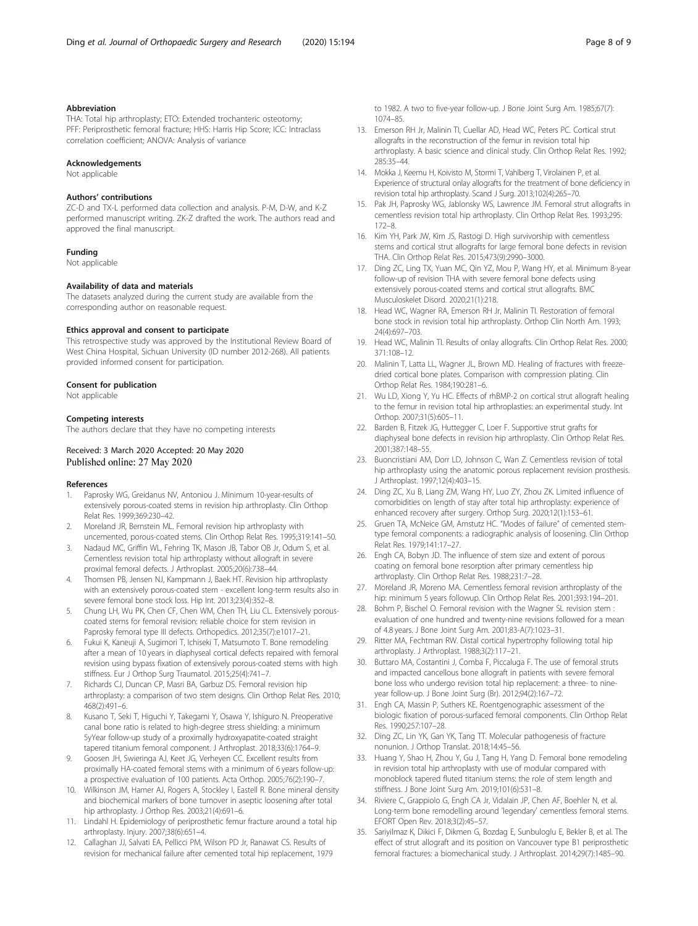#### <span id="page-7-0"></span>Abbreviation

THA: Total hip arthroplasty; ETO: Extended trochanteric osteotomy; PFF: Periprosthetic femoral fracture; HHS: Harris Hip Score; ICC: Intraclass correlation coefficient; ANOVA: Analysis of variance

#### Acknowledgements

Not applicable

#### Authors' contributions

ZC-D and TX-L performed data collection and analysis. P-M, D-W, and K-Z performed manuscript writing. ZK-Z drafted the work. The authors read and approved the final manuscript.

#### Funding

Not applicable

#### Availability of data and materials

The datasets analyzed during the current study are available from the corresponding author on reasonable request.

#### Ethics approval and consent to participate

This retrospective study was approved by the Institutional Review Board of West China Hospital, Sichuan University (ID number 2012-268). All patients provided informed consent for participation.

#### Consent for publication

Not applicable

#### Competing interests

The authors declare that they have no competing interests

#### Received: 3 March 2020 Accepted: 20 May 2020 Published online: 27 May 2020

#### References

- 1. Paprosky WG, Greidanus NV, Antoniou J. Minimum 10-year-results of extensively porous-coated stems in revision hip arthroplasty. Clin Orthop Relat Res. 1999;369:230–42.
- 2. Moreland JR, Bernstein ML. Femoral revision hip arthroplasty with uncemented, porous-coated stems. Clin Orthop Relat Res. 1995;319:141–50.
- 3. Nadaud MC, Griffin WL, Fehring TK, Mason JB, Tabor OB Jr, Odum S, et al. Cementless revision total hip arthroplasty without allograft in severe proximal femoral defects. J Arthroplast. 2005;20(6):738–44.
- 4. Thomsen PB, Jensen NJ, Kampmann J, Baek HT. Revision hip arthroplasty with an extensively porous-coated stem - excellent long-term results also in severe femoral bone stock loss. Hip Int. 2013;23(4):352–8.
- 5. Chung LH, Wu PK, Chen CF, Chen WM, Chen TH, Liu CL. Extensively porouscoated stems for femoral revision: reliable choice for stem revision in Paprosky femoral type III defects. Orthopedics. 2012;35(7):e1017-21.
- 6. Fukui K, Kaneuji A, Sugimori T, Ichiseki T, Matsumoto T. Bone remodeling after a mean of 10 years in diaphyseal cortical defects repaired with femoral revision using bypass fixation of extensively porous-coated stems with high stiffness. Eur J Orthop Surg Traumatol. 2015;25(4):741–7.
- 7. Richards CJ, Duncan CP, Masri BA, Garbuz DS. Femoral revision hip arthroplasty: a comparison of two stem designs. Clin Orthop Relat Res. 2010; 468(2):491–6.
- 8. Kusano T, Seki T, Higuchi Y, Takegami Y, Osawa Y, Ishiguro N. Preoperative canal bone ratio is related to high-degree stress shielding: a minimum 5yYear follow-up study of a proximally hydroxyapatite-coated straight tapered titanium femoral component. J Arthroplast. 2018;33(6):1764–9.
- Goosen JH, Swieringa AJ, Keet JG, Verheyen CC. Excellent results from proximally HA-coated femoral stems with a minimum of 6 years follow-up: a prospective evaluation of 100 patients. Acta Orthop. 2005;76(2):190–7.
- 10. Wilkinson JM, Hamer AJ, Rogers A, Stockley I, Eastell R. Bone mineral density and biochemical markers of bone turnover in aseptic loosening after total hip arthroplasty. J Orthop Res. 2003;21(4):691–6.
- 11. Lindahl H. Epidemiology of periprosthetic femur fracture around a total hip arthroplasty. Injury. 2007;38(6):651–4.
- 12. Callaghan JJ, Salvati EA, Pellicci PM, Wilson PD Jr, Ranawat CS. Results of revision for mechanical failure after cemented total hip replacement, 1979

to 1982. A two to five-year follow-up. J Bone Joint Surg Am. 1985;67(7): 1074–85.

- 13. Emerson RH Jr, Malinin TI, Cuellar AD, Head WC, Peters PC. Cortical strut allografts in the reconstruction of the femur in revision total hip arthroplasty. A basic science and clinical study. Clin Orthop Relat Res. 1992; 285:35–44.
- 14. Mokka J, Keemu H, Koivisto M, Stormi T, Vahlberg T, Virolainen P, et al. Experience of structural onlay allografts for the treatment of bone deficiency in revision total hip arthroplasty. Scand J Surg. 2013;102(4):265–70.
- 15. Pak JH, Paprosky WG, Jablonsky WS, Lawrence JM. Femoral strut allografts in cementless revision total hip arthroplasty. Clin Orthop Relat Res. 1993;295: 172–8.
- 16. Kim YH, Park JW, Kim JS, Rastogi D. High survivorship with cementless stems and cortical strut allografts for large femoral bone defects in revision THA. Clin Orthop Relat Res. 2015;473(9):2990–3000.
- 17. Ding ZC, Ling TX, Yuan MC, Qin YZ, Mou P, Wang HY, et al. Minimum 8-year follow-up of revision THA with severe femoral bone defects using extensively porous-coated stems and cortical strut allografts. BMC Musculoskelet Disord. 2020;21(1):218.
- 18. Head WC, Wagner RA, Emerson RH Jr, Malinin TI. Restoration of femoral bone stock in revision total hip arthroplasty. Orthop Clin North Am. 1993; 24(4):697–703.
- 19. Head WC, Malinin TI. Results of onlay allografts. Clin Orthop Relat Res. 2000; 371:108–12.
- 20. Malinin T, Latta LL, Wagner JL, Brown MD. Healing of fractures with freezedried cortical bone plates. Comparison with compression plating. Clin Orthop Relat Res. 1984;190:281–6.
- 21. Wu LD, Xiong Y, Yu HC. Effects of rhBMP-2 on cortical strut allograft healing to the femur in revision total hip arthroplasties: an experimental study. Int Orthop. 2007;31(5):605–11.
- 22. Barden B, Fitzek JG, Huttegger C, Loer F. Supportive strut grafts for diaphyseal bone defects in revision hip arthroplasty. Clin Orthop Relat Res. 2001;387:148–55.
- 23. Buoncristiani AM, Dorr LD, Johnson C, Wan Z. Cementless revision of total hip arthroplasty using the anatomic porous replacement revision prosthesis. J Arthroplast. 1997;12(4):403–15.
- 24. Ding ZC, Xu B, Liang ZM, Wang HY, Luo ZY, Zhou ZK. Limited influence of comorbidities on length of stay after total hip arthroplasty: experience of enhanced recovery after surgery. Orthop Surg. 2020;12(1):153–61.
- 25. Gruen TA, McNeice GM, Amstutz HC. "Modes of failure" of cemented stemtype femoral components: a radiographic analysis of loosening. Clin Orthop Relat Res. 1979;141:17–27.
- 26. Engh CA, Bobyn JD. The influence of stem size and extent of porous coating on femoral bone resorption after primary cementless hip arthroplasty. Clin Orthop Relat Res. 1988;231:7–28.
- 27. Moreland JR, Moreno MA. Cementless femoral revision arthroplasty of the hip: minimum 5 years followup. Clin Orthop Relat Res. 2001;393:194–201.
- 28. Bohm P, Bischel O. Femoral revision with the Wagner SL revision stem : evaluation of one hundred and twenty-nine revisions followed for a mean of 4.8 years. J Bone Joint Surg Am. 2001;83-A(7):1023–31.
- 29. Ritter MA, Fechtman RW. Distal cortical hypertrophy following total hip arthroplasty. J Arthroplast. 1988;3(2):117–21.
- 30. Buttaro MA, Costantini J, Comba F, Piccaluga F. The use of femoral struts and impacted cancellous bone allograft in patients with severe femoral bone loss who undergo revision total hip replacement: a three- to nineyear follow-up. J Bone Joint Surg (Br). 2012;94(2):167–72.
- 31. Engh CA, Massin P, Suthers KE. Roentgenographic assessment of the biologic fixation of porous-surfaced femoral components. Clin Orthop Relat Res. 1990;257:107–28.
- 32. Ding ZC, Lin YK, Gan YK, Tang TT. Molecular pathogenesis of fracture nonunion. J Orthop Translat. 2018;14:45–56.
- 33. Huang Y, Shao H, Zhou Y, Gu J, Tang H, Yang D. Femoral bone remodeling in revision total hip arthroplasty with use of modular compared with monoblock tapered fluted titanium stems: the role of stem length and stiffness. J Bone Joint Surg Am. 2019;101(6):531–8.
- 34. Riviere C, Grappiolo G, Engh CA Jr, Vidalain JP, Chen AF, Boehler N, et al. Long-term bone remodelling around 'legendary' cementless femoral stems. EFORT Open Rev. 2018;3(2):45–57.
- 35. Sariyilmaz K, Dikici F, Dikmen G, Bozdag E, Sunbuloglu E, Bekler B, et al. The effect of strut allograft and its position on Vancouver type B1 periprosthetic femoral fractures: a biomechanical study. J Arthroplast. 2014;29(7):1485–90.